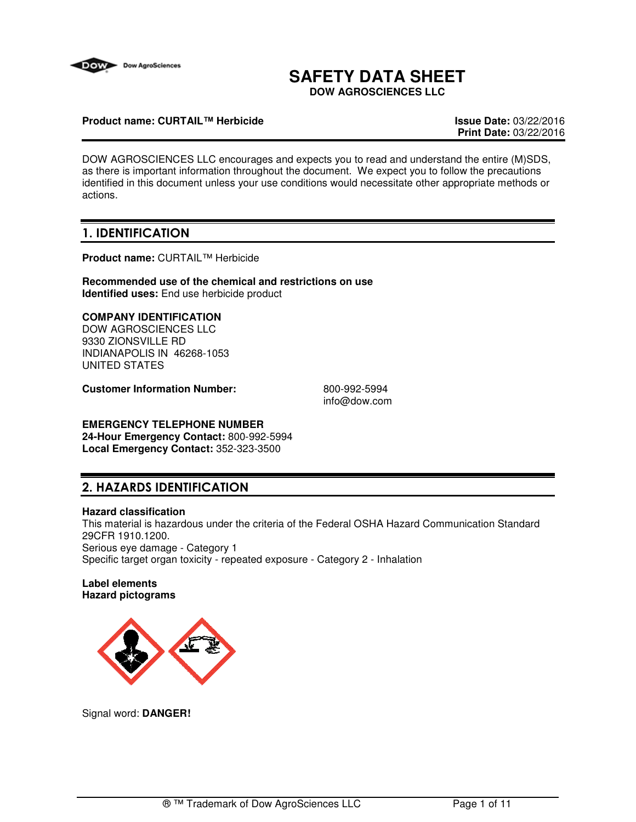

# **SAFETY DATA SHEET**

**DOW AGROSCIENCES LLC**

#### **Product name: CURTAIL™ Herbicide Issue Date:** 03/22/2016

**Print Date:** 03/22/2016

DOW AGROSCIENCES LLC encourages and expects you to read and understand the entire (M)SDS, as there is important information throughout the document. We expect you to follow the precautions identified in this document unless your use conditions would necessitate other appropriate methods or actions.

## **1. IDENTIFICATION**

**Product name:** CURTAIL™ Herbicide

**Recommended use of the chemical and restrictions on use Identified uses:** End use herbicide product

### **COMPANY IDENTIFICATION**

DOW AGROSCIENCES LLC 9330 ZIONSVILLE RD INDIANAPOLIS IN 46268-1053 UNITED STATES

**Customer Information Number:** 800-992-5994

info@dow.com

#### **EMERGENCY TELEPHONE NUMBER 24-Hour Emergency Contact:** 800-992-5994

**Local Emergency Contact:** 352-323-3500

## **2. HAZARDS IDENTIFICATION**

#### **Hazard classification**

This material is hazardous under the criteria of the Federal OSHA Hazard Communication Standard 29CFR 1910.1200. Serious eye damage - Category 1 Specific target organ toxicity - repeated exposure - Category 2 - Inhalation

#### **Label elements Hazard pictograms**



Signal word: **DANGER!**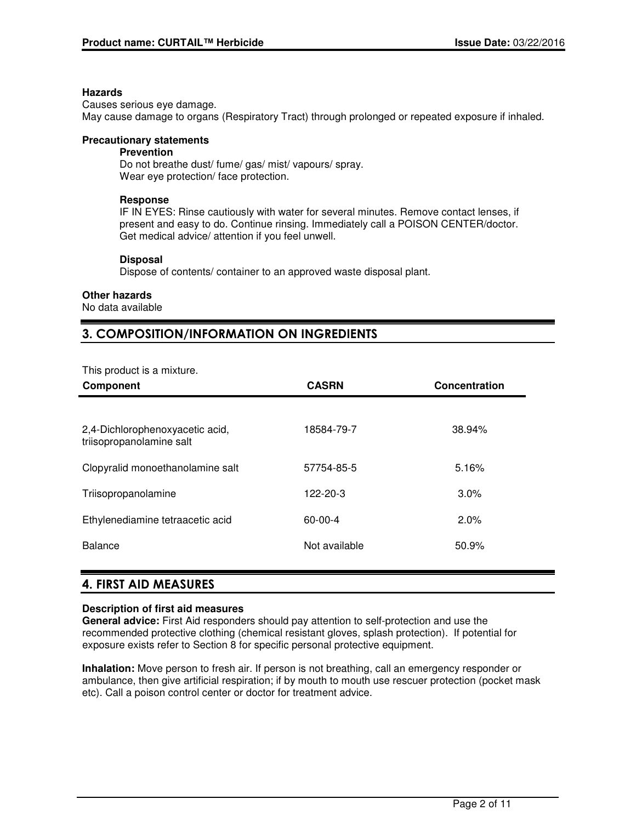#### **Hazards**

Causes serious eye damage. May cause damage to organs (Respiratory Tract) through prolonged or repeated exposure if inhaled.

#### **Precautionary statements**

#### **Prevention**

Do not breathe dust/ fume/ gas/ mist/ vapours/ spray. Wear eye protection/ face protection.

#### **Response**

IF IN EYES: Rinse cautiously with water for several minutes. Remove contact lenses, if present and easy to do. Continue rinsing. Immediately call a POISON CENTER/doctor. Get medical advice/ attention if you feel unwell.

#### **Disposal**

Dispose of contents/ container to an approved waste disposal plant.

#### **Other hazards**

No data available

## **3. COMPOSITION/INFORMATION ON INGREDIENTS**

This product is a mixture.

| <b>Component</b>                                            | <b>CASRN</b>  | Concentration |
|-------------------------------------------------------------|---------------|---------------|
|                                                             |               |               |
| 2,4-Dichlorophenoxyacetic acid,<br>triisopropanolamine salt | 18584-79-7    | 38.94%        |
| Clopyralid monoethanolamine salt                            | 57754-85-5    | 5.16%         |
| Triisopropanolamine                                         | 122-20-3      | 3.0%          |
| Ethylenediamine tetraacetic acid                            | $60 - 00 - 4$ | $2.0\%$       |
| <b>Balance</b>                                              | Not available | 50.9%         |
|                                                             |               |               |

## **4. FIRST AID MEASURES**

#### **Description of first aid measures**

**General advice:** First Aid responders should pay attention to self-protection and use the recommended protective clothing (chemical resistant gloves, splash protection). If potential for exposure exists refer to Section 8 for specific personal protective equipment.

**Inhalation:** Move person to fresh air. If person is not breathing, call an emergency responder or ambulance, then give artificial respiration; if by mouth to mouth use rescuer protection (pocket mask etc). Call a poison control center or doctor for treatment advice.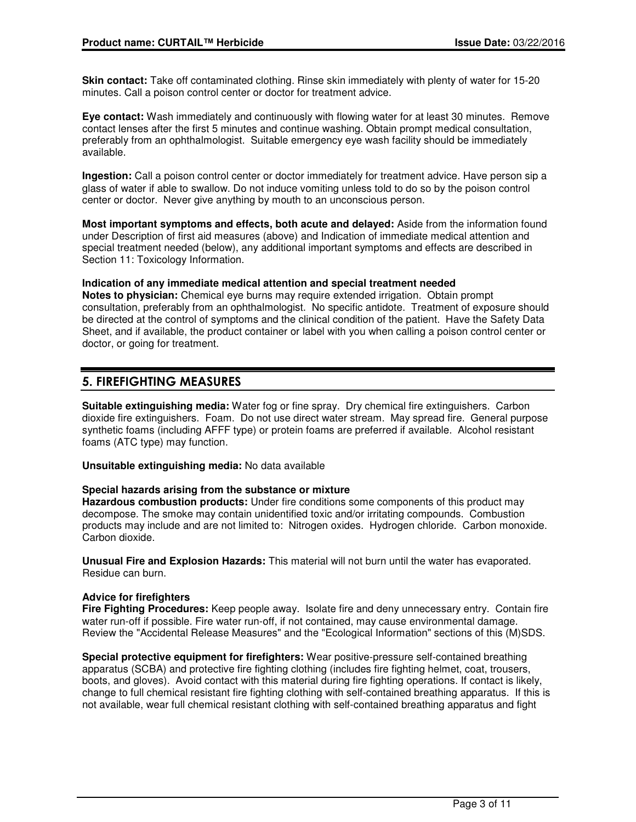**Skin contact:** Take off contaminated clothing. Rinse skin immediately with plenty of water for 15-20 minutes. Call a poison control center or doctor for treatment advice.

**Eye contact:** Wash immediately and continuously with flowing water for at least 30 minutes. Remove contact lenses after the first 5 minutes and continue washing. Obtain prompt medical consultation, preferably from an ophthalmologist. Suitable emergency eye wash facility should be immediately available.

**Ingestion:** Call a poison control center or doctor immediately for treatment advice. Have person sip a glass of water if able to swallow. Do not induce vomiting unless told to do so by the poison control center or doctor. Never give anything by mouth to an unconscious person.

**Most important symptoms and effects, both acute and delayed:** Aside from the information found under Description of first aid measures (above) and Indication of immediate medical attention and special treatment needed (below), any additional important symptoms and effects are described in Section 11: Toxicology Information.

#### **Indication of any immediate medical attention and special treatment needed**

**Notes to physician:** Chemical eye burns may require extended irrigation. Obtain prompt consultation, preferably from an ophthalmologist. No specific antidote. Treatment of exposure should be directed at the control of symptoms and the clinical condition of the patient. Have the Safety Data Sheet, and if available, the product container or label with you when calling a poison control center or doctor, or going for treatment.

## **5. FIREFIGHTING MEASURES**

**Suitable extinguishing media:** Water fog or fine spray. Dry chemical fire extinguishers. Carbon dioxide fire extinguishers. Foam. Do not use direct water stream. May spread fire. General purpose synthetic foams (including AFFF type) or protein foams are preferred if available. Alcohol resistant foams (ATC type) may function.

**Unsuitable extinguishing media:** No data available

#### **Special hazards arising from the substance or mixture**

**Hazardous combustion products:** Under fire conditions some components of this product may decompose. The smoke may contain unidentified toxic and/or irritating compounds. Combustion products may include and are not limited to: Nitrogen oxides. Hydrogen chloride. Carbon monoxide. Carbon dioxide.

**Unusual Fire and Explosion Hazards:** This material will not burn until the water has evaporated. Residue can burn.

#### **Advice for firefighters**

**Fire Fighting Procedures:** Keep people away. Isolate fire and deny unnecessary entry. Contain fire water run-off if possible. Fire water run-off, if not contained, may cause environmental damage. Review the "Accidental Release Measures" and the "Ecological Information" sections of this (M)SDS.

**Special protective equipment for firefighters:** Wear positive-pressure self-contained breathing apparatus (SCBA) and protective fire fighting clothing (includes fire fighting helmet, coat, trousers, boots, and gloves). Avoid contact with this material during fire fighting operations. If contact is likely, change to full chemical resistant fire fighting clothing with self-contained breathing apparatus. If this is not available, wear full chemical resistant clothing with self-contained breathing apparatus and fight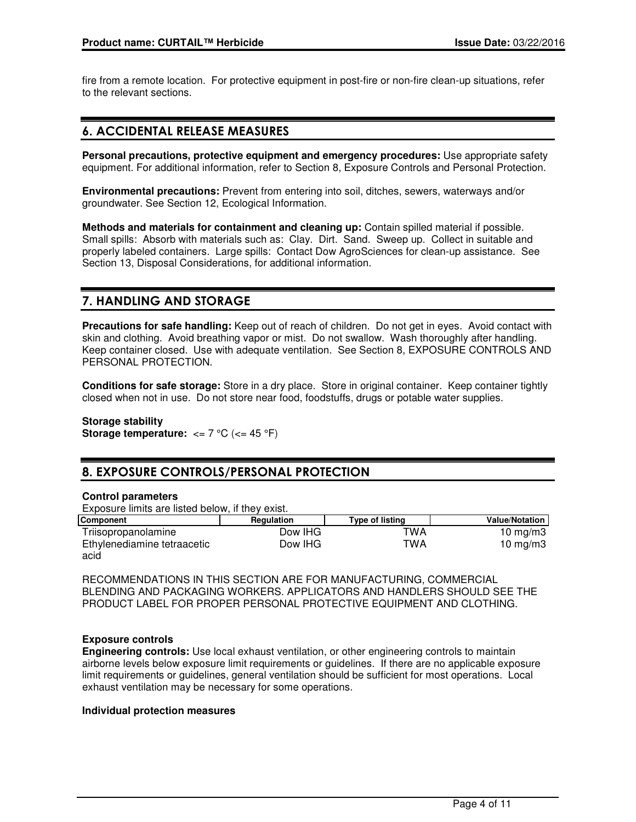fire from a remote location. For protective equipment in post-fire or non-fire clean-up situations, refer to the relevant sections.

## **6. ACCIDENTAL RELEASE MEASURES**

**Personal precautions, protective equipment and emergency procedures:** Use appropriate safety equipment. For additional information, refer to Section 8, Exposure Controls and Personal Protection.

**Environmental precautions:** Prevent from entering into soil, ditches, sewers, waterways and/or groundwater. See Section 12, Ecological Information.

**Methods and materials for containment and cleaning up:** Contain spilled material if possible. Small spills: Absorb with materials such as: Clay. Dirt. Sand. Sweep up. Collect in suitable and properly labeled containers. Large spills: Contact Dow AgroSciences for clean-up assistance. See Section 13, Disposal Considerations, for additional information.

## **7. HANDLING AND STORAGE**

**Precautions for safe handling:** Keep out of reach of children. Do not get in eyes. Avoid contact with skin and clothing. Avoid breathing vapor or mist. Do not swallow. Wash thoroughly after handling. Keep container closed. Use with adequate ventilation. See Section 8, EXPOSURE CONTROLS AND PERSONAL PROTECTION.

**Conditions for safe storage:** Store in a dry place. Store in original container. Keep container tightly closed when not in use. Do not store near food, foodstuffs, drugs or potable water supplies.

**Storage stability Storage temperature:**  $\leq$  7 °C ( $\leq$  45 °F)

## **8. EXPOSURE CONTROLS/PERSONAL PROTECTION**

#### **Control parameters**

Exposure limits are listed below, if they exist.

| Component                   | Regulation | Type of listing | <b>Value/Notation</b> |
|-----------------------------|------------|-----------------|-----------------------|
| Triisopropanolamine         | Dow IHG    | TWA             | 10 mg/m $3$           |
| Ethylenediamine tetraacetic | Dow IHG    | TWA             | 10 mg/m $3$           |
| acid                        |            |                 |                       |

RECOMMENDATIONS IN THIS SECTION ARE FOR MANUFACTURING, COMMERCIAL BLENDING AND PACKAGING WORKERS. APPLICATORS AND HANDLERS SHOULD SEE THE PRODUCT LABEL FOR PROPER PERSONAL PROTECTIVE EQUIPMENT AND CLOTHING.

#### **Exposure controls**

**Engineering controls:** Use local exhaust ventilation, or other engineering controls to maintain airborne levels below exposure limit requirements or guidelines. If there are no applicable exposure limit requirements or guidelines, general ventilation should be sufficient for most operations. Local exhaust ventilation may be necessary for some operations.

#### **Individual protection measures**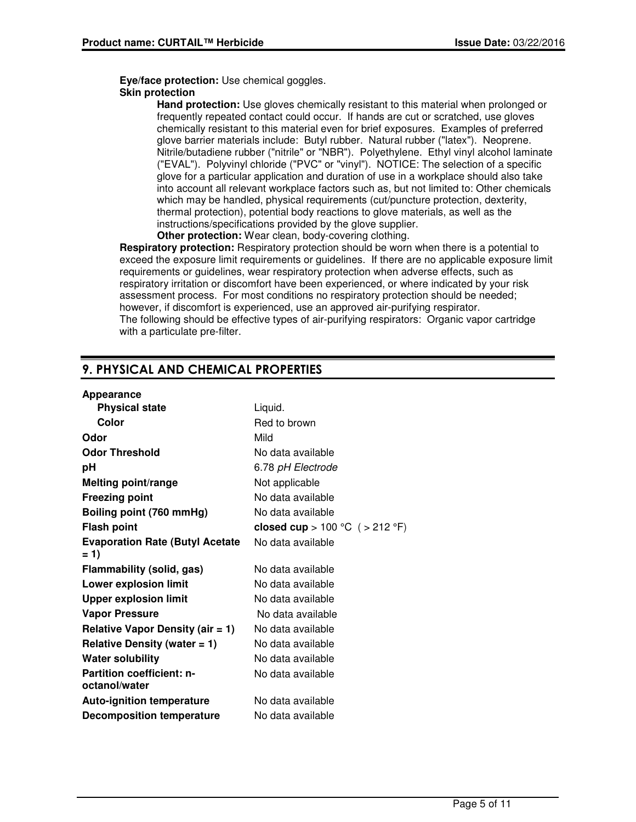**Eye/face protection:** Use chemical goggles.

#### **Skin protection**

**Hand protection:** Use gloves chemically resistant to this material when prolonged or frequently repeated contact could occur. If hands are cut or scratched, use gloves chemically resistant to this material even for brief exposures. Examples of preferred glove barrier materials include: Butyl rubber. Natural rubber ("latex"). Neoprene. Nitrile/butadiene rubber ("nitrile" or "NBR"). Polyethylene. Ethyl vinyl alcohol laminate ("EVAL"). Polyvinyl chloride ("PVC" or "vinyl"). NOTICE: The selection of a specific glove for a particular application and duration of use in a workplace should also take into account all relevant workplace factors such as, but not limited to: Other chemicals which may be handled, physical requirements (cut/puncture protection, dexterity, thermal protection), potential body reactions to glove materials, as well as the instructions/specifications provided by the glove supplier.

**Other protection:** Wear clean, body-covering clothing.

**Respiratory protection:** Respiratory protection should be worn when there is a potential to exceed the exposure limit requirements or guidelines. If there are no applicable exposure limit requirements or guidelines, wear respiratory protection when adverse effects, such as respiratory irritation or discomfort have been experienced, or where indicated by your risk assessment process. For most conditions no respiratory protection should be needed; however, if discomfort is experienced, use an approved air-purifying respirator. The following should be effective types of air-purifying respirators: Organic vapor cartridge with a particulate pre-filter.

## **9. PHYSICAL AND CHEMICAL PROPERTIES**

#### **Appearance**

| Liquid.                           |
|-----------------------------------|
| Red to brown                      |
| Mild                              |
| No data available                 |
| 6.78 pH Electrode                 |
| Not applicable                    |
| No data available                 |
| No data available                 |
| closed cup > 100 °C $($ > 212 °F) |
| No data available                 |
|                                   |
| No data available                 |
| No data available                 |
| No data available                 |
| No data available                 |
| No data available                 |
| No data available                 |
| No data available                 |
| No data available                 |
|                                   |
| No data available                 |
| No data available                 |
|                                   |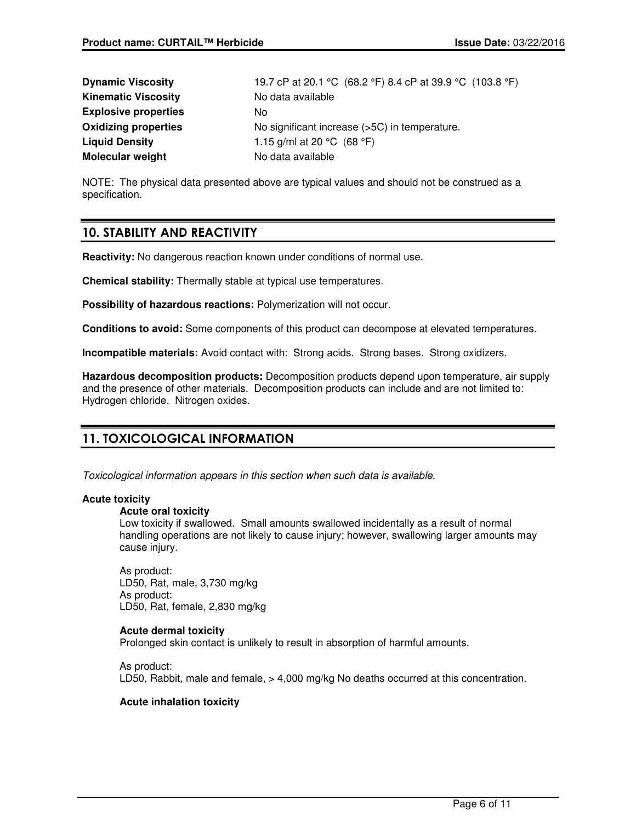| <b>Dynamic Viscosity</b>    | 19.7 cP at 20.1 °C (68.2 °F) 8.4 cP at 39.9 °C (103.8 °F) |
|-----------------------------|-----------------------------------------------------------|
| <b>Kinematic Viscosity</b>  | No data available                                         |
| <b>Explosive properties</b> | No.                                                       |
| <b>Oxidizing properties</b> | No significant increase (>5C) in temperature.             |
| <b>Liquid Density</b>       | 1.15 g/ml at 20 °C $(68 °F)$                              |
| <b>Molecular weight</b>     | No data available                                         |

NOTE: The physical data presented above are typical values and should not be construed as a specification.

## **10. STABILITY AND REACTIVITY**

**Reactivity:** No dangerous reaction known under conditions of normal use.

**Chemical stability:** Thermally stable at typical use temperatures.

**Possibility of hazardous reactions:** Polymerization will not occur.

**Conditions to avoid:** Some components of this product can decompose at elevated temperatures.

**Incompatible materials:** Avoid contact with: Strong acids. Strong bases. Strong oxidizers.

**Hazardous decomposition products:** Decomposition products depend upon temperature, air supply and the presence of other materials. Decomposition products can include and are not limited to: Hydrogen chloride. Nitrogen oxides.

## **11. TOXICOLOGICAL INFORMATION**

Toxicological information appears in this section when such data is available.

#### **Acute toxicity**

#### **Acute oral toxicity**

Low toxicity if swallowed. Small amounts swallowed incidentally as a result of normal handling operations are not likely to cause injury; however, swallowing larger amounts may cause injury.

As product: LD50, Rat, male, 3,730 mg/kg As product: LD50, Rat, female, 2,830 mg/kg

#### **Acute dermal toxicity**

Prolonged skin contact is unlikely to result in absorption of harmful amounts.

As product: LD50, Rabbit, male and female, > 4,000 mg/kg No deaths occurred at this concentration.

#### **Acute inhalation toxicity**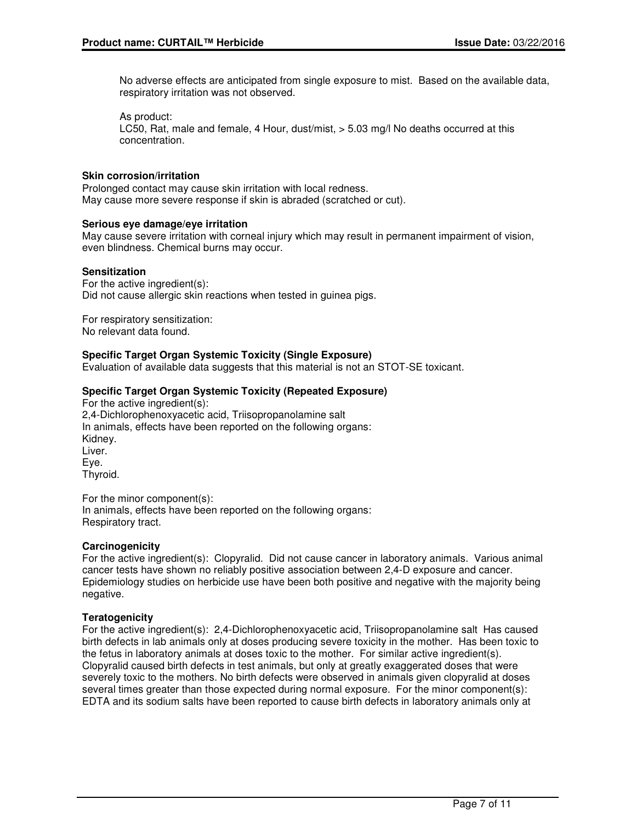No adverse effects are anticipated from single exposure to mist. Based on the available data, respiratory irritation was not observed.

As product: LC50, Rat, male and female, 4 Hour, dust/mist, > 5.03 mg/l No deaths occurred at this concentration.

#### **Skin corrosion/irritation**

Prolonged contact may cause skin irritation with local redness. May cause more severe response if skin is abraded (scratched or cut).

#### **Serious eye damage/eye irritation**

May cause severe irritation with corneal injury which may result in permanent impairment of vision, even blindness. Chemical burns may occur.

#### **Sensitization**

For the active ingredient(s): Did not cause allergic skin reactions when tested in guinea pigs.

For respiratory sensitization: No relevant data found.

#### **Specific Target Organ Systemic Toxicity (Single Exposure)**

Evaluation of available data suggests that this material is not an STOT-SE toxicant.

#### **Specific Target Organ Systemic Toxicity (Repeated Exposure)**

For the active ingredient(s): 2,4-Dichlorophenoxyacetic acid, Triisopropanolamine salt In animals, effects have been reported on the following organs: Kidney. Liver. Eye. Thyroid.

For the minor component(s): In animals, effects have been reported on the following organs: Respiratory tract.

#### **Carcinogenicity**

For the active ingredient(s): Clopyralid. Did not cause cancer in laboratory animals. Various animal cancer tests have shown no reliably positive association between 2,4-D exposure and cancer. Epidemiology studies on herbicide use have been both positive and negative with the majority being negative.

#### **Teratogenicity**

For the active ingredient(s): 2,4-Dichlorophenoxyacetic acid, Triisopropanolamine salt Has caused birth defects in lab animals only at doses producing severe toxicity in the mother. Has been toxic to the fetus in laboratory animals at doses toxic to the mother. For similar active ingredient(s). Clopyralid caused birth defects in test animals, but only at greatly exaggerated doses that were severely toxic to the mothers. No birth defects were observed in animals given clopyralid at doses several times greater than those expected during normal exposure. For the minor component(s): EDTA and its sodium salts have been reported to cause birth defects in laboratory animals only at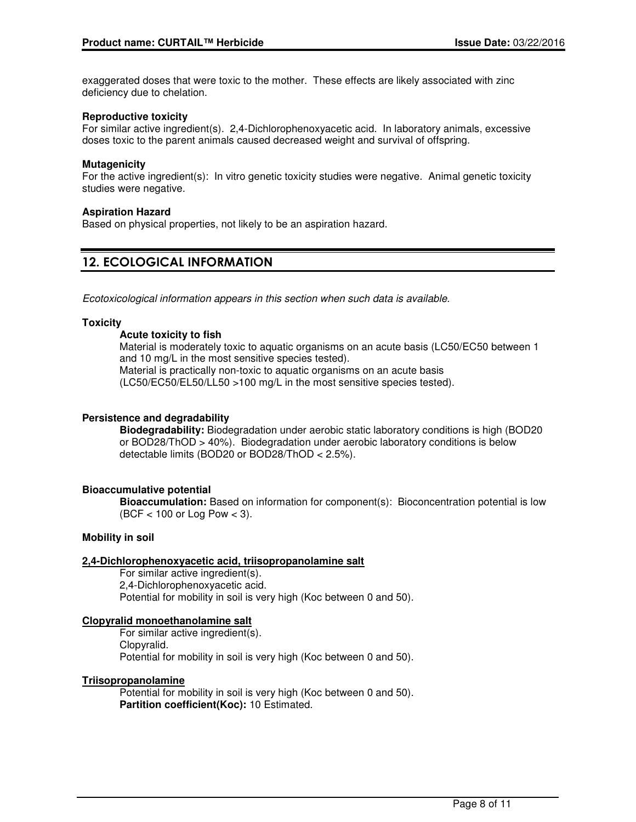exaggerated doses that were toxic to the mother. These effects are likely associated with zinc deficiency due to chelation.

#### **Reproductive toxicity**

For similar active ingredient(s). 2,4-Dichlorophenoxyacetic acid. In laboratory animals, excessive doses toxic to the parent animals caused decreased weight and survival of offspring.

#### **Mutagenicity**

For the active ingredient(s): In vitro genetic toxicity studies were negative. Animal genetic toxicity studies were negative.

#### **Aspiration Hazard**

Based on physical properties, not likely to be an aspiration hazard.

## **12. ECOLOGICAL INFORMATION**

Ecotoxicological information appears in this section when such data is available.

#### **Toxicity**

#### **Acute toxicity to fish**

Material is moderately toxic to aquatic organisms on an acute basis (LC50/EC50 between 1 and 10 mg/L in the most sensitive species tested).

Material is practically non-toxic to aquatic organisms on an acute basis (LC50/EC50/EL50/LL50 >100 mg/L in the most sensitive species tested).

#### **Persistence and degradability**

**Biodegradability:** Biodegradation under aerobic static laboratory conditions is high (BOD20 or BOD28/ThOD > 40%). Biodegradation under aerobic laboratory conditions is below detectable limits (BOD20 or BOD28/ThOD < 2.5%).

#### **Bioaccumulative potential**

**Bioaccumulation:** Based on information for component(s): Bioconcentration potential is low (BCF < 100 or Log Pow < 3).

#### **Mobility in soil**

#### **2,4-Dichlorophenoxyacetic acid, triisopropanolamine salt**

For similar active ingredient(s). 2,4-Dichlorophenoxyacetic acid. Potential for mobility in soil is very high (Koc between 0 and 50).

#### **Clopyralid monoethanolamine salt**

For similar active ingredient(s). Clopyralid. Potential for mobility in soil is very high (Koc between 0 and 50).

#### **Triisopropanolamine**

Potential for mobility in soil is very high (Koc between 0 and 50). **Partition coefficient(Koc):** 10 Estimated.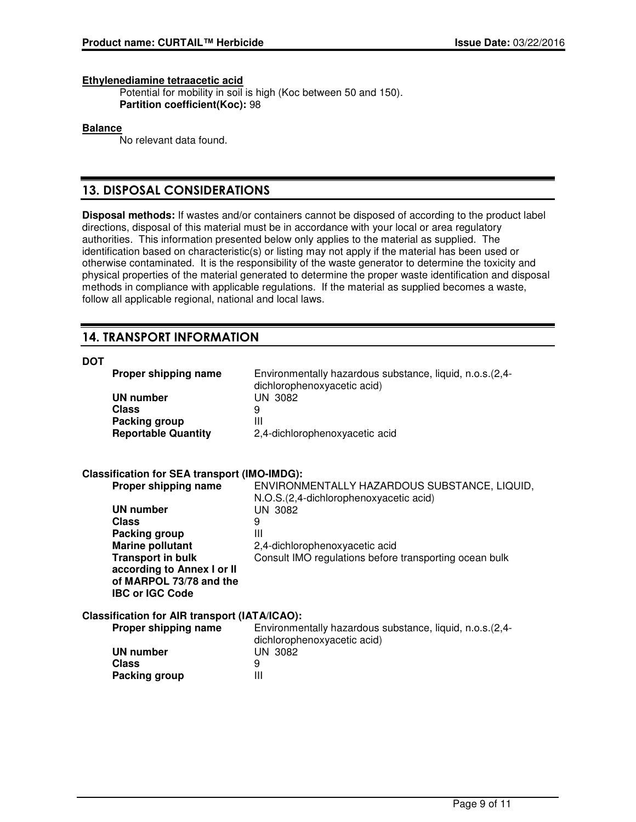#### **Ethylenediamine tetraacetic acid**

Potential for mobility in soil is high (Koc between 50 and 150). **Partition coefficient(Koc):** 98

#### **Balance**

No relevant data found.

## **13. DISPOSAL CONSIDERATIONS**

**Disposal methods:** If wastes and/or containers cannot be disposed of according to the product label directions, disposal of this material must be in accordance with your local or area regulatory authorities. This information presented below only applies to the material as supplied. The identification based on characteristic(s) or listing may not apply if the material has been used or otherwise contaminated. It is the responsibility of the waste generator to determine the toxicity and physical properties of the material generated to determine the proper waste identification and disposal methods in compliance with applicable regulations. If the material as supplied becomes a waste, follow all applicable regional, national and local laws.

## **14. TRANSPORT INFORMATION**

#### **DOT**

| Proper shipping name<br><b>UN number</b><br>Class<br><b>Packing group</b><br><b>Reportable Quantity</b>     | Environmentally hazardous substance, liquid, n.o.s. (2,4-<br>dichlorophenoxyacetic acid)<br>UN 3082<br>9<br>Ш<br>2,4-dichlorophenoxyacetic acid |
|-------------------------------------------------------------------------------------------------------------|-------------------------------------------------------------------------------------------------------------------------------------------------|
| <b>Classification for SEA transport (IMO-IMDG):</b>                                                         |                                                                                                                                                 |
| Proper shipping name                                                                                        | ENVIRONMENTALLY HAZARDOUS SUBSTANCE, LIQUID,                                                                                                    |
| <b>UN number</b>                                                                                            | N.O.S.(2,4-dichlorophenoxyacetic acid)<br>UN 3082                                                                                               |
| <b>Class</b>                                                                                                | 9                                                                                                                                               |
| Packing group                                                                                               | Ш                                                                                                                                               |
| Marine pollutant                                                                                            | 2,4-dichlorophenoxyacetic acid                                                                                                                  |
| <b>Transport in bulk</b><br>according to Annex I or II<br>of MARPOL 73/78 and the<br><b>IBC or IGC Code</b> | Consult IMO regulations before transporting ocean bulk                                                                                          |
| <b>Classification for AIR transport (IATA/ICAO):</b>                                                        |                                                                                                                                                 |
| Proper shipping name                                                                                        | Environmentally hazardous substance, liquid, n.o.s. (2,4-<br>dichlorophenoxyacetic acid)                                                        |
| <b>UN number</b>                                                                                            | <b>UN 3082</b>                                                                                                                                  |
| <b>Class</b>                                                                                                | 9                                                                                                                                               |
| Packing group                                                                                               | Ш                                                                                                                                               |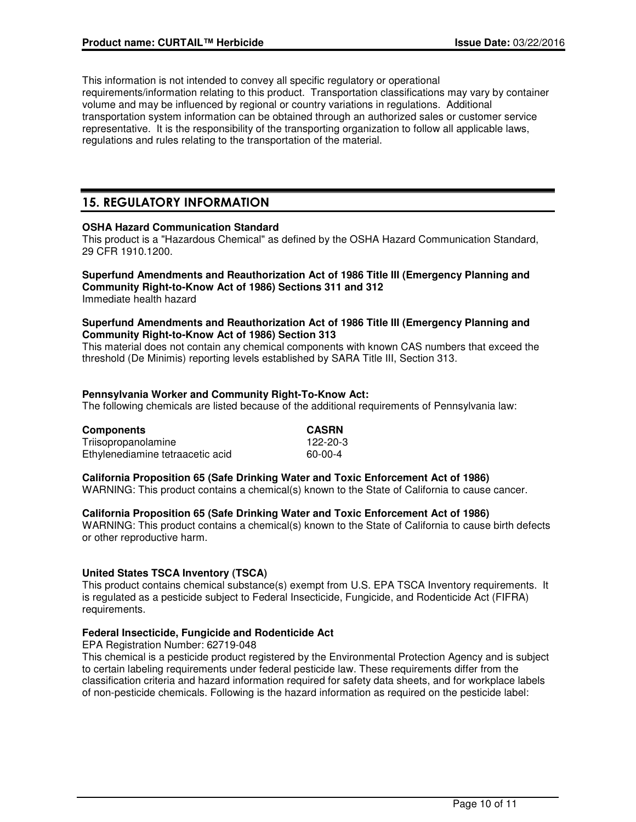This information is not intended to convey all specific regulatory or operational requirements/information relating to this product. Transportation classifications may vary by container volume and may be influenced by regional or country variations in regulations. Additional transportation system information can be obtained through an authorized sales or customer service representative. It is the responsibility of the transporting organization to follow all applicable laws, regulations and rules relating to the transportation of the material.

## **15. REGULATORY INFORMATION**

#### **OSHA Hazard Communication Standard**

This product is a "Hazardous Chemical" as defined by the OSHA Hazard Communication Standard, 29 CFR 1910.1200.

## **Superfund Amendments and Reauthorization Act of 1986 Title III (Emergency Planning and Community Right-to-Know Act of 1986) Sections 311 and 312**

Immediate health hazard

#### **Superfund Amendments and Reauthorization Act of 1986 Title III (Emergency Planning and Community Right-to-Know Act of 1986) Section 313**

This material does not contain any chemical components with known CAS numbers that exceed the threshold (De Minimis) reporting levels established by SARA Title III, Section 313.

#### **Pennsylvania Worker and Community Right-To-Know Act:**

The following chemicals are listed because of the additional requirements of Pennsylvania law:

| <b>Components</b>                | <b>CASRN</b>   |
|----------------------------------|----------------|
| Triisopropanolamine              | $122 - 20 - 3$ |
| Ethylenediamine tetraacetic acid | 60-00-4        |

#### **California Proposition 65 (Safe Drinking Water and Toxic Enforcement Act of 1986)**

WARNING: This product contains a chemical(s) known to the State of California to cause cancer.

#### **California Proposition 65 (Safe Drinking Water and Toxic Enforcement Act of 1986)**

WARNING: This product contains a chemical(s) known to the State of California to cause birth defects or other reproductive harm.

#### **United States TSCA Inventory (TSCA)**

This product contains chemical substance(s) exempt from U.S. EPA TSCA Inventory requirements. It is regulated as a pesticide subject to Federal Insecticide, Fungicide, and Rodenticide Act (FIFRA) requirements.

#### **Federal Insecticide, Fungicide and Rodenticide Act**

EPA Registration Number: 62719-048

This chemical is a pesticide product registered by the Environmental Protection Agency and is subject to certain labeling requirements under federal pesticide law. These requirements differ from the classification criteria and hazard information required for safety data sheets, and for workplace labels of non-pesticide chemicals. Following is the hazard information as required on the pesticide label: